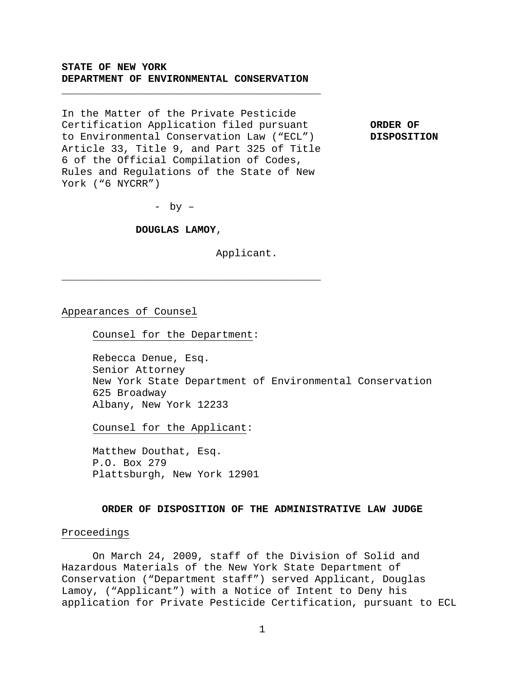# **STATE OF NEW YORK DEPARTMENT OF ENVIRONMENTAL CONSERVATION**

**\_\_\_\_\_\_\_\_\_\_\_\_\_\_\_\_\_\_\_\_\_\_\_\_\_\_\_\_\_\_\_\_\_\_\_\_\_\_\_\_\_\_** 

In the Matter of the Private Pesticide Certification Application filed pursuant **ORDER OF**  to Environmental Conservation Law ("ECL") **DISPOSITION**  Article 33, Title 9, and Part 325 of Title 6 of the Official Compilation of Codes, Rules and Regulations of the State of New York ("6 NYCRR")

- by –

#### **DOUGLAS LAMOY**,

**\_\_\_\_\_\_\_\_\_\_\_\_\_\_\_\_\_\_\_\_\_\_\_\_\_\_\_\_\_\_\_\_\_\_\_\_\_\_\_\_\_\_** 

Applicant.

Appearances of Counsel

Counsel for the Department:

Rebecca Denue, Esq. Senior Attorney New York State Department of Environmental Conservation 625 Broadway Albany, New York 12233

Counsel for the Applicant:

 Matthew Douthat, Esq. P.O. Box 279 Plattsburgh, New York 12901

## **ORDER OF DISPOSITION OF THE ADMINISTRATIVE LAW JUDGE**

#### Proceedings

 On March 24, 2009, staff of the Division of Solid and Hazardous Materials of the New York State Department of Conservation ("Department staff") served Applicant, Douglas Lamoy, ("Applicant") with a Notice of Intent to Deny his application for Private Pesticide Certification, pursuant to ECL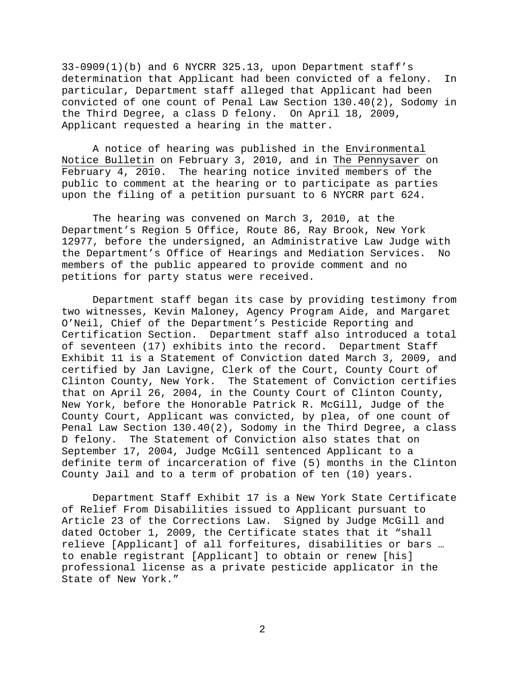$33-0909(1)(b)$  and 6 NYCRR  $325.13$ , upon Department staff's determination that Applicant had been convicted of a felony. In particular, Department staff alleged that Applicant had been convicted of one count of Penal Law Section 130.40(2), Sodomy in the Third Degree, a class D felony. On April 18, 2009, Applicant requested a hearing in the matter.

A notice of hearing was published in the Environmental Notice Bulletin on February 3, 2010, and in The Pennysaver on February 4, 2010. The hearing notice invited members of the public to comment at the hearing or to participate as parties upon the filing of a petition pursuant to 6 NYCRR part 624.

The hearing was convened on March 3, 2010, at the Department's Region 5 Office, Route 86, Ray Brook, New York 12977, before the undersigned, an Administrative Law Judge with the Department's Office of Hearings and Mediation Services. No members of the public appeared to provide comment and no petitions for party status were received.

 Department staff began its case by providing testimony from two witnesses, Kevin Maloney, Agency Program Aide, and Margaret O'Neil, Chief of the Department's Pesticide Reporting and Certification Section. Department staff also introduced a total of seventeen (17) exhibits into the record. Department Staff Exhibit 11 is a Statement of Conviction dated March 3, 2009, and certified by Jan Lavigne, Clerk of the Court, County Court of Clinton County, New York. The Statement of Conviction certifies that on April 26, 2004, in the County Court of Clinton County, New York, before the Honorable Patrick R. McGill, Judge of the County Court, Applicant was convicted, by plea, of one count of Penal Law Section 130.40(2), Sodomy in the Third Degree, a class D felony. The Statement of Conviction also states that on September 17, 2004, Judge McGill sentenced Applicant to a definite term of incarceration of five (5) months in the Clinton County Jail and to a term of probation of ten (10) years.

Department Staff Exhibit 17 is a New York State Certificate of Relief From Disabilities issued to Applicant pursuant to Article 23 of the Corrections Law. Signed by Judge McGill and dated October 1, 2009, the Certificate states that it "shall relieve [Applicant] of all forfeitures, disabilities or bars … to enable registrant [Applicant] to obtain or renew [his] professional license as a private pesticide applicator in the State of New York."